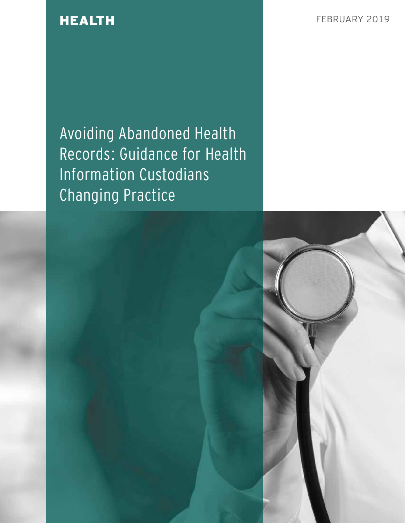**HEALTH FEBRUARY 2019** 

Avoiding Abandoned Health Records: Guidance for Health Information Custodians Changing Practice

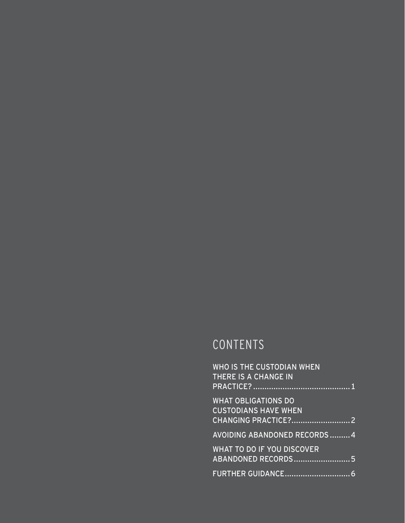# CONTENTS

| <b>WHO IS THE CUSTODIAN WHEN</b><br>THERE IS A CHANGE IN  |  |
|-----------------------------------------------------------|--|
| <b>WHAT OBLIGATIONS DO</b><br><b>CUSTODIANS HAVE WHEN</b> |  |
| <b>AVOIDING ABANDONED RECORDS  4</b>                      |  |
| <b>WHAT TO DO IF YOU DISCOVER</b><br>ABANDONED RECORDS5   |  |
|                                                           |  |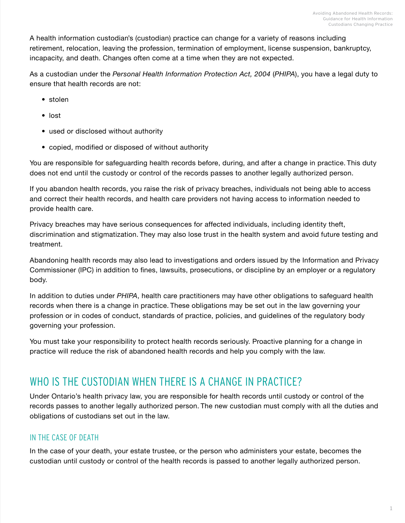<span id="page-2-0"></span>A health information custodian's (custodian) practice can change for a variety of reasons including retirement, relocation, leaving the profession, termination of employment, license suspension, bankruptcy, incapacity, and death. Changes often come at a time when they are not expected.

As a custodian under the *Personal Health Information Protection Act, 2004* (*PHIPA*), you have a legal duty to ensure that health records are not:

- stolen
- lost
- used or disclosed without authority
- copied, modified or disposed of without authority

You are responsible for safeguarding health records before, during, and after a change in practice. This duty does not end until the custody or control of the records passes to another legally authorized person.

If you abandon health records, you raise the risk of privacy breaches, individuals not being able to access and correct their health records, and health care providers not having access to information needed to provide health care.

Privacy breaches may have serious consequences for affected individuals, including identity theft, discrimination and stigmatization. They may also lose trust in the health system and avoid future testing and treatment.

Abandoning health records may also lead to investigations and orders issued by the Information and Privacy Commissioner (IPC) in addition to fines, lawsuits, prosecutions, or discipline by an employer or a regulatory body.

In addition to duties under *PHIPA*, health care practitioners may have other obligations to safeguard health records when there is a change in practice. These obligations may be set out in the law governing your profession or in codes of conduct, standards of practice, policies, and guidelines of the regulatory body governing your profession.

You must take your responsibility to protect health records seriously. Proactive planning for a change in practice will reduce the risk of abandoned health records and help you comply with the law.

# WHO IS THE CUSTODIAN WHEN THERE IS A CHANGE IN PRACTICE?

Under Ontario's health privacy law, you are responsible for health records until custody or control of the records passes to another legally authorized person. The new custodian must comply with all the duties and obligations of custodians set out in the law.

# IN THE CASE OF DEATH

In the case of your death, your estate trustee, or the person who administers your estate, becomes the custodian until custody or control of the health records is passed to another legally authorized person.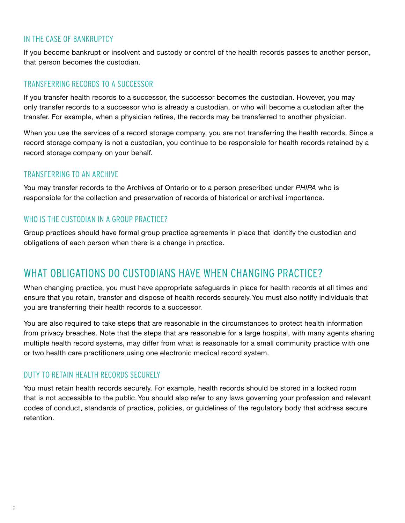# <span id="page-3-0"></span>IN THE CASE OF BANKRUPTCY

If you become bankrupt or insolvent and custody or control of the health records passes to another person, that person becomes the custodian.

### TRANSFERRING RECORDS TO A SUCCESSOR

If you transfer health records to a successor, the successor becomes the custodian. However, you may only transfer records to a successor who is already a custodian, or who will become a custodian after the transfer. For example, when a physician retires, the records may be transferred to another physician.

When you use the services of a record storage company, you are not transferring the health records. Since a record storage company is not a custodian, you continue to be responsible for health records retained by a record storage company on your behalf.

### TRANSFERRING TO AN ARCHIVE

You may transfer records to the Archives of Ontario or to a person prescribed under *PHIPA* who is responsible for the collection and preservation of records of historical or archival importance.

## WHO IS THE CUSTODIAN IN A GROUP PRACTICE?

Group practices should have formal group practice agreements in place that identify the custodian and obligations of each person when there is a change in practice.

# WHAT OBLIGATIONS DO CUSTODIANS HAVE WHEN CHANGING PRACTICE?

When changing practice, you must have appropriate safeguards in place for health records at all times and ensure that you retain, transfer and dispose of health records securely. You must also notify individuals that you are transferring their health records to a successor.

You are also required to take steps that are reasonable in the circumstances to protect health information from privacy breaches. Note that the steps that are reasonable for a large hospital, with many agents sharing multiple health record systems, may differ from what is reasonable for a small community practice with one or two health care practitioners using one electronic medical record system.

## DUTY TO RETAIN HEALTH RECORDS SECURELY

You must retain health records securely. For example, health records should be stored in a locked room that is not accessible to the public. You should also refer to any laws governing your profession and relevant codes of conduct, standards of practice, policies, or guidelines of the regulatory body that address secure retention.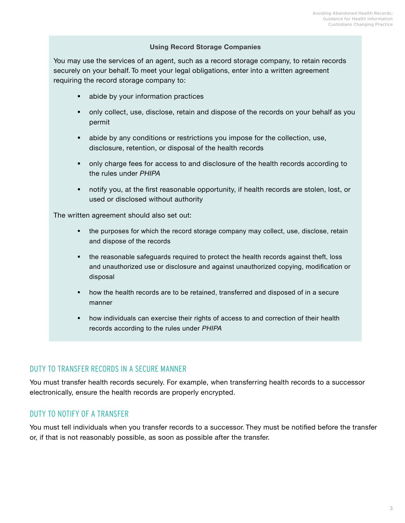#### **Using Record Storage Companies**

You may use the services of an agent, such as a record storage company, to retain records securely on your behalf. To meet your legal obligations, enter into a written agreement requiring the record storage company to:

- abide by your information practices
- only collect, use, disclose, retain and dispose of the records on your behalf as you permit
- abide by any conditions or restrictions you impose for the collection, use, disclosure, retention, or disposal of the health records
- only charge fees for access to and disclosure of the health records according to the rules under *PHIPA*
- notify you, at the first reasonable opportunity, if health records are stolen, lost, or used or disclosed without authority

The written agreement should also set out:

- the purposes for which the record storage company may collect, use, disclose, retain and dispose of the records
- the reasonable safeguards required to protect the health records against theft, loss and unauthorized use or disclosure and against unauthorized copying, modification or disposal
- how the health records are to be retained, transferred and disposed of in a secure manner
- how individuals can exercise their rights of access to and correction of their health records according to the rules under *PHIPA*

## DUTY TO TRANSFER RECORDS IN A SECURE MANNER

You must transfer health records securely. For example, when transferring health records to a successor electronically, ensure the health records are properly encrypted.

## DUTY TO NOTIFY OF A TRANSFER

You must tell individuals when you transfer records to a successor. They must be notified before the transfer or, if that is not reasonably possible, as soon as possible after the transfer.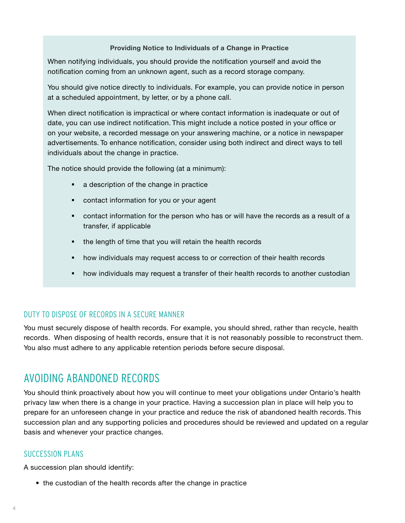#### **Providing Notice to Individuals of a Change in Practice**

<span id="page-5-0"></span>When notifying individuals, you should provide the notification yourself and avoid the notification coming from an unknown agent, such as a record storage company.

You should give notice directly to individuals. For example, you can provide notice in person at a scheduled appointment, by letter, or by a phone call.

When direct notification is impractical or where contact information is inadequate or out of date, you can use indirect notification. This might include a notice posted in your office or on your website, a recorded message on your answering machine, or a notice in newspaper advertisements. To enhance notification, consider using both indirect and direct ways to tell individuals about the change in practice.

The notice should provide the following (at a minimum):

- **a** description of the change in practice
- contact information for you or your agent
- contact information for the person who has or will have the records as a result of a transfer, if applicable
- the length of time that you will retain the health records
- how individuals may request access to or correction of their health records
- how individuals may request a transfer of their health records to another custodian

### DUTY TO DISPOSE OF RECORDS IN A SECURE MANNER

You must securely dispose of health records. For example, you should shred, rather than recycle, health records. When disposing of health records, ensure that it is not reasonably possible to reconstruct them. You also must adhere to any applicable retention periods before secure disposal.

# AVOIDING ABANDONED RECORDS

You should think proactively about how you will continue to meet your obligations under Ontario's health privacy law when there is a change in your practice. Having a succession plan in place will help you to prepare for an unforeseen change in your practice and reduce the risk of abandoned health records. This succession plan and any supporting policies and procedures should be reviewed and updated on a regular basis and whenever your practice changes.

#### SUCCESSION PLANS

A succession plan should identify:

• the custodian of the health records after the change in practice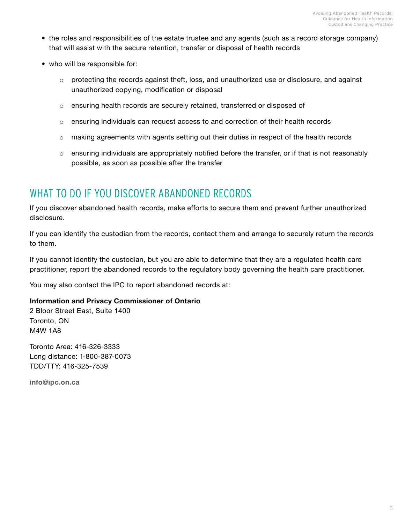- <span id="page-6-0"></span>• the roles and responsibilities of the estate trustee and any agents (such as a record storage company) that will assist with the secure retention, transfer or disposal of health records
- who will be responsible for:
	- o protecting the records against theft, loss, and unauthorized use or disclosure, and against unauthorized copying, modification or disposal
	- o ensuring health records are securely retained, transferred or disposed of
	- $\circ$  ensuring individuals can request access to and correction of their health records
	- $\circ$  making agreements with agents setting out their duties in respect of the health records
	- $\circ$  ensuring individuals are appropriately notified before the transfer, or if that is not reasonably possible, as soon as possible after the transfer

# WHAT TO DO IF YOU DISCOVER ABANDONED RECORDS

If you discover abandoned health records, make efforts to secure them and prevent further unauthorized disclosure.

If you can identify the custodian from the records, contact them and arrange to securely return the records to them.

If you cannot identify the custodian, but you are able to determine that they are a regulated health care practitioner, report the abandoned records to the regulatory body governing the health care practitioner.

You may also contact the IPC to report abandoned records at:

### **Information and Privacy Commissioner of Ontario**

2 Bloor Street East, Suite 1400 Toronto, ON M4W 1A8

Toronto Area: 416-326-3333 Long distance: 1-800-387-0073 TDD/TTY: 416-325-7539

**[info@ipc.on.ca](mailto:info@ipc.on.ca)**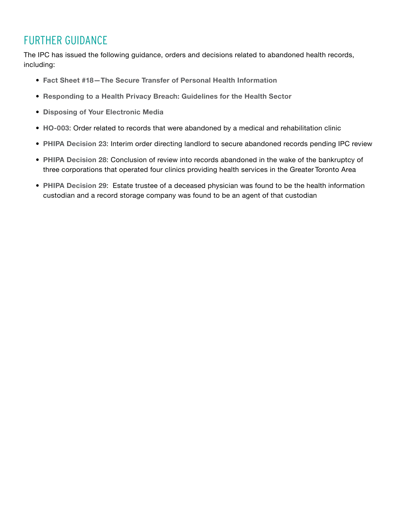# <span id="page-7-0"></span>FURTHER GUIDANCE

The IPC has issued the following guidance, orders and decisions related to abandoned health records, including:

- **[Fact Sheet #18—The Secure Transfer of Personal Health Information](https://www.ipc.on.ca/wp-content/uploads/Resources/fact-18-e.pdf)**
- **[Responding to a Health Privacy Breach: Guidelines for the Health Sector](https://www.ipc.on.ca/wp-content/uploads/2018/10/health-privacy-breach-guidelines.pdf)**
- **[Disposing of Your Electronic Media](https://www.ipc.on.ca/wp-content/uploads/2018/03/fs-tech-disposing-of-your-electronic-media-003.pdf)**
- **[HO-003](https://decisions.ipc.on.ca/ipc-cipvp/phipa/en/135091/1/document.do)**: Order related to records that were abandoned by a medical and rehabilitation clinic
- **[PHIPA Decision 23](https://decisions.ipc.on.ca/ipc-cipvp/phipa/en/134900/1/document.do)**: Interim order directing landlord to secure abandoned records pending IPC review
- **[PHIPA Decision 28](https://decisions.ipc.on.ca/ipc-cipvp/phipa/en/144773/1/document.do)**: Conclusion of review into records abandoned in the wake of the bankruptcy of three corporations that operated four clinics providing health services in the Greater Toronto Area
- **[PHIPA Decision 29](https://decisions.ipc.on.ca/ipc-cipvp/phipa/en/168861/1/document.do)**: Estate trustee of a deceased physician was found to be the health information custodian and a record storage company was found to be an agent of that custodian